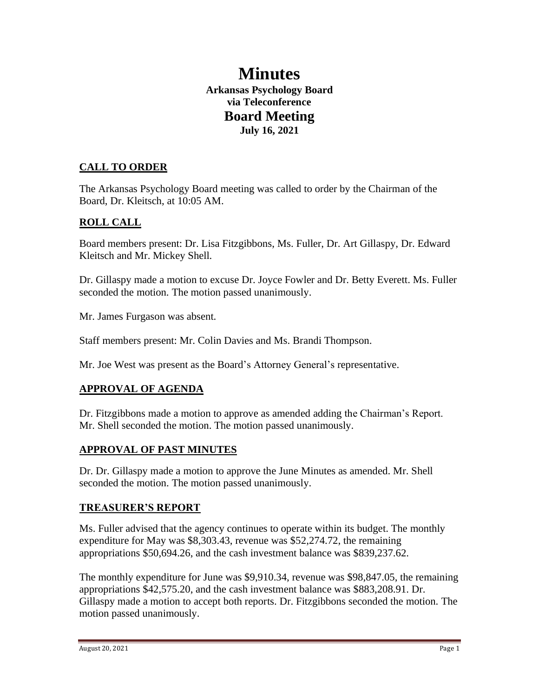# **Minutes Arkansas Psychology Board via Teleconference Board Meeting July 16, 2021**

# **CALL TO ORDER**

The Arkansas Psychology Board meeting was called to order by the Chairman of the Board, Dr. Kleitsch, at 10:05 AM.

# **ROLL CALL**

Board members present: Dr. Lisa Fitzgibbons, Ms. Fuller, Dr. Art Gillaspy, Dr. Edward Kleitsch and Mr. Mickey Shell.

Dr. Gillaspy made a motion to excuse Dr. Joyce Fowler and Dr. Betty Everett. Ms. Fuller seconded the motion. The motion passed unanimously.

Mr. James Furgason was absent.

Staff members present: Mr. Colin Davies and Ms. Brandi Thompson.

Mr. Joe West was present as the Board's Attorney General's representative.

# **APPROVAL OF AGENDA**

Dr. Fitzgibbons made a motion to approve as amended adding the Chairman's Report. Mr. Shell seconded the motion. The motion passed unanimously.

#### **APPROVAL OF PAST MINUTES**

Dr. Dr. Gillaspy made a motion to approve the June Minutes as amended. Mr. Shell seconded the motion. The motion passed unanimously.

#### **TREASURER'S REPORT**

Ms. Fuller advised that the agency continues to operate within its budget. The monthly expenditure for May was \$8,303.43, revenue was \$52,274.72, the remaining appropriations \$50,694.26, and the cash investment balance was \$839,237.62.

The monthly expenditure for June was \$9,910.34, revenue was \$98,847.05, the remaining appropriations \$42,575.20, and the cash investment balance was \$883,208.91. Dr. Gillaspy made a motion to accept both reports. Dr. Fitzgibbons seconded the motion. The motion passed unanimously.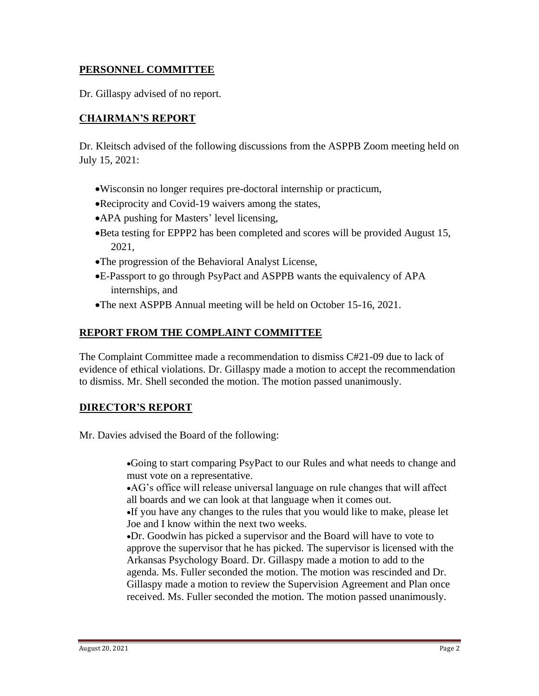### **PERSONNEL COMMITTEE**

Dr. Gillaspy advised of no report.

#### **CHAIRMAN'S REPORT**

Dr. Kleitsch advised of the following discussions from the ASPPB Zoom meeting held on July 15, 2021:

- •Wisconsin no longer requires pre-doctoral internship or practicum,
- •Reciprocity and Covid-19 waivers among the states,
- •APA pushing for Masters' level licensing,
- •Beta testing for EPPP2 has been completed and scores will be provided August 15, 2021,
- •The progression of the Behavioral Analyst License,
- •E-Passport to go through PsyPact and ASPPB wants the equivalency of APA internships, and
- •The next ASPPB Annual meeting will be held on October 15-16, 2021.

#### **REPORT FROM THE COMPLAINT COMMITTEE**

The Complaint Committee made a recommendation to dismiss C#21-09 due to lack of evidence of ethical violations. Dr. Gillaspy made a motion to accept the recommendation to dismiss. Mr. Shell seconded the motion. The motion passed unanimously.

#### **DIRECTOR'S REPORT**

Mr. Davies advised the Board of the following:

•Going to start comparing PsyPact to our Rules and what needs to change and must vote on a representative.

•AG's office will release universal language on rule changes that will affect all boards and we can look at that language when it comes out.

•If you have any changes to the rules that you would like to make, please let Joe and I know within the next two weeks.

•Dr. Goodwin has picked a supervisor and the Board will have to vote to approve the supervisor that he has picked. The supervisor is licensed with the Arkansas Psychology Board. Dr. Gillaspy made a motion to add to the agenda. Ms. Fuller seconded the motion. The motion was rescinded and Dr. Gillaspy made a motion to review the Supervision Agreement and Plan once received. Ms. Fuller seconded the motion. The motion passed unanimously.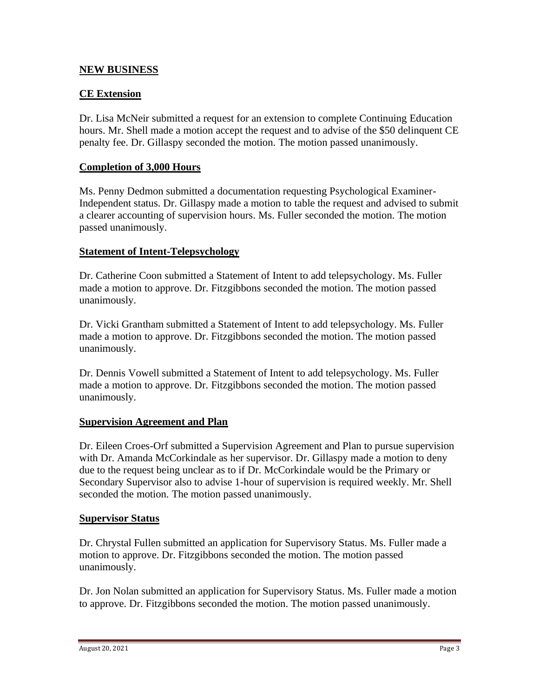#### **NEW BUSINESS**

#### **CE Extension**

Dr. Lisa McNeir submitted a request for an extension to complete Continuing Education hours. Mr. Shell made a motion accept the request and to advise of the \$50 delinquent CE penalty fee. Dr. Gillaspy seconded the motion. The motion passed unanimously.

#### **Completion of 3,000 Hours**

Ms. Penny Dedmon submitted a documentation requesting Psychological Examiner-Independent status. Dr. Gillaspy made a motion to table the request and advised to submit a clearer accounting of supervision hours. Ms. Fuller seconded the motion. The motion passed unanimously.

#### **Statement of Intent-Telepsychology**

Dr. Catherine Coon submitted a Statement of Intent to add telepsychology. Ms. Fuller made a motion to approve. Dr. Fitzgibbons seconded the motion. The motion passed unanimously.

Dr. Vicki Grantham submitted a Statement of Intent to add telepsychology. Ms. Fuller made a motion to approve. Dr. Fitzgibbons seconded the motion. The motion passed unanimously.

Dr. Dennis Vowell submitted a Statement of Intent to add telepsychology. Ms. Fuller made a motion to approve. Dr. Fitzgibbons seconded the motion. The motion passed unanimously.

#### **Supervision Agreement and Plan**

Dr. Eileen Croes-Orf submitted a Supervision Agreement and Plan to pursue supervision with Dr. Amanda McCorkindale as her supervisor. Dr. Gillaspy made a motion to deny due to the request being unclear as to if Dr. McCorkindale would be the Primary or Secondary Supervisor also to advise 1-hour of supervision is required weekly. Mr. Shell seconded the motion. The motion passed unanimously.

#### **Supervisor Status**

Dr. Chrystal Fullen submitted an application for Supervisory Status. Ms. Fuller made a motion to approve. Dr. Fitzgibbons seconded the motion. The motion passed unanimously.

Dr. Jon Nolan submitted an application for Supervisory Status. Ms. Fuller made a motion to approve. Dr. Fitzgibbons seconded the motion. The motion passed unanimously.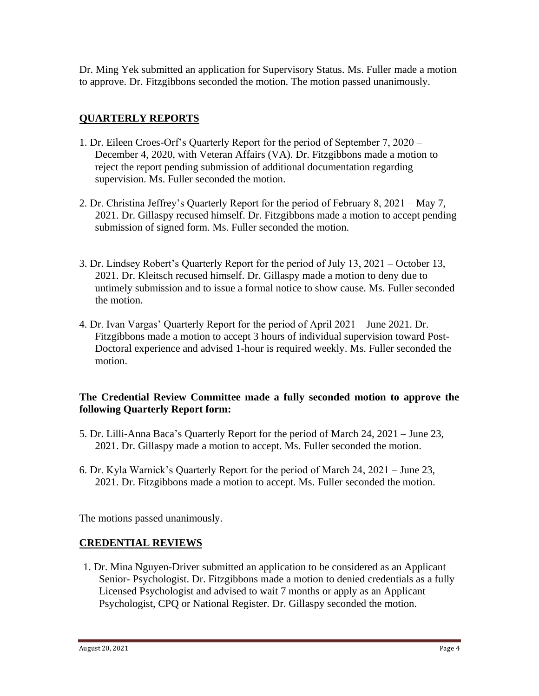Dr. Ming Yek submitted an application for Supervisory Status. Ms. Fuller made a motion to approve. Dr. Fitzgibbons seconded the motion. The motion passed unanimously.

# **QUARTERLY REPORTS**

- 1. Dr. Eileen Croes-Orf's Quarterly Report for the period of September 7, 2020 December 4, 2020, with Veteran Affairs (VA). Dr. Fitzgibbons made a motion to reject the report pending submission of additional documentation regarding supervision. Ms. Fuller seconded the motion.
- 2. Dr. Christina Jeffrey's Quarterly Report for the period of February 8, 2021 May 7, 2021. Dr. Gillaspy recused himself. Dr. Fitzgibbons made a motion to accept pending submission of signed form. Ms. Fuller seconded the motion.
- 3. Dr. Lindsey Robert's Quarterly Report for the period of July 13, 2021 October 13, 2021. Dr. Kleitsch recused himself. Dr. Gillaspy made a motion to deny due to untimely submission and to issue a formal notice to show cause. Ms. Fuller seconded the motion.
- 4. Dr. Ivan Vargas' Quarterly Report for the period of April 2021 June 2021. Dr. Fitzgibbons made a motion to accept 3 hours of individual supervision toward Post-Doctoral experience and advised 1-hour is required weekly. Ms. Fuller seconded the motion.

#### **The Credential Review Committee made a fully seconded motion to approve the following Quarterly Report form:**

- 5. Dr. Lilli-Anna Baca's Quarterly Report for the period of March 24, 2021 June 23, 2021. Dr. Gillaspy made a motion to accept. Ms. Fuller seconded the motion.
- 6. Dr. Kyla Warnick's Quarterly Report for the period of March 24, 2021 June 23, 2021. Dr. Fitzgibbons made a motion to accept. Ms. Fuller seconded the motion.

The motions passed unanimously.

# **CREDENTIAL REVIEWS**

1. Dr. Mina Nguyen-Driver submitted an application to be considered as an Applicant Senior- Psychologist. Dr. Fitzgibbons made a motion to denied credentials as a fully Licensed Psychologist and advised to wait 7 months or apply as an Applicant Psychologist, CPQ or National Register. Dr. Gillaspy seconded the motion.